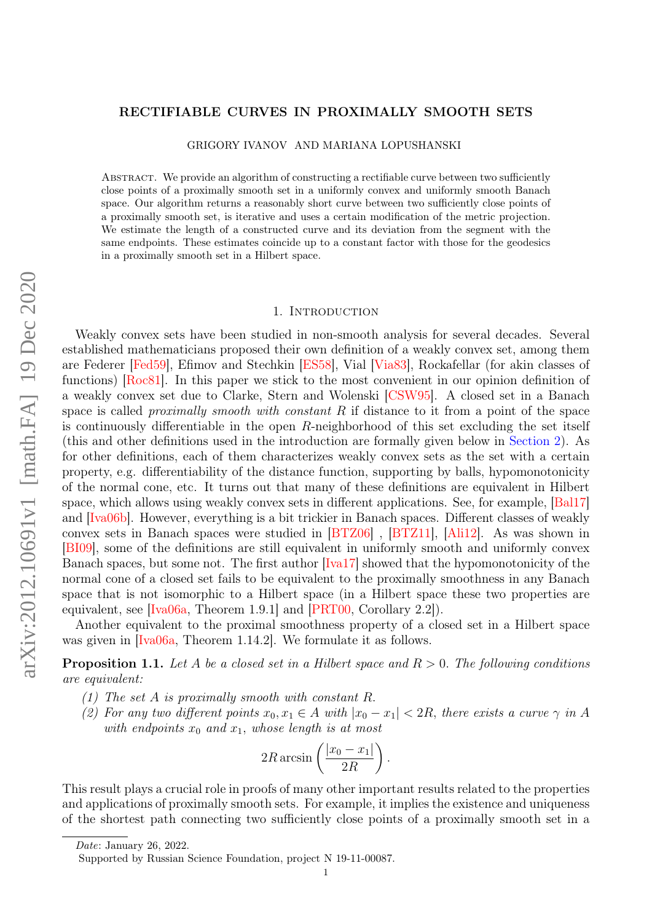#### <span id="page-0-0"></span>RECTIFIABLE CURVES IN PROXIMALLY SMOOTH SETS

GRIGORY IVANOV AND MARIANA LOPUSHANSKI

Abstract. We provide an algorithm of constructing a rectifiable curve between two sufficiently close points of a proximally smooth set in a uniformly convex and uniformly smooth Banach space. Our algorithm returns a reasonably short curve between two sufficiently close points of a proximally smooth set, is iterative and uses a certain modification of the metric projection. We estimate the length of a constructed curve and its deviation from the segment with the same endpoints. These estimates coincide up to a constant factor with those for the geodesics in a proximally smooth set in a Hilbert space.

#### 1. INTRODUCTION

Weakly convex sets have been studied in non-smooth analysis for several decades. Several established mathematicians proposed their own definition of a weakly convex set, among them are Federer [\[Fed59\]](#page-14-0), Efimov and Stechkin [\[ES58\]](#page-14-1), Vial [\[Via83\]](#page-14-2), Rockafellar (for akin classes of functions) [\[Roc81\]](#page-14-3). In this paper we stick to the most convenient in our opinion definition of a weakly convex set due to Clarke, Stern and Wolenski [\[CSW95\]](#page-14-4). A closed set in a Banach space is called *proximally smooth with constant R* if distance to it from a point of the space is continuously differentiable in the open  $R$ -neighborhood of this set excluding the set itself (this and other definitions used in the introduction are formally given below in [Section](#page-2-0) [2\)](#page-2-0). As for other definitions, each of them characterizes weakly convex sets as the set with a certain property, e.g. differentiability of the distance function, supporting by balls, hypomonotonicity of the normal cone, etc. It turns out that many of these definitions are equivalent in Hilbert space, which allows using weakly convex sets in different applications. See, for example, [\[Bal17\]](#page-14-5) and [\[Iva06b\]](#page-14-6). However, everything is a bit trickier in Banach spaces. Different classes of weakly convex sets in Banach spaces were studied in [\[BTZ06\]](#page-14-7) , [\[BTZ11\]](#page-14-8), [\[Ali12\]](#page-14-9). As was shown in [\[BI09\]](#page-14-10), some of the definitions are still equivalent in uniformly smooth and uniformly convex Banach spaces, but some not. The first author [\[Iva17\]](#page-14-11) showed that the hypomonotonicity of the normal cone of a closed set fails to be equivalent to the proximally smoothness in any Banach space that is not isomorphic to a Hilbert space (in a Hilbert space these two properties are equivalent, see [\[Iva06a,](#page-14-12) Theorem 1.9.1] and [\[PRT00,](#page-14-13) Corollary 2.2]).

Another equivalent to the proximal smoothness property of a closed set in a Hilbert space was given in  $\text{[Iva06a]}$ , Theorem 1.14.2. We formulate it as follows.

**Proposition 1.1.** Let A be a closed set in a Hilbert space and  $R > 0$ . The following conditions are equivalent:

- (1) The set A is proximally smooth with constant  $R$ .
- (2) For any two different points  $x_0, x_1 \in A$  with  $|x_0 x_1| < 2R$ , there exists a curve  $\gamma$  in A with endpoints  $x_0$  and  $x_1$ , whose length is at most

$$
2R \arcsin\left(\frac{|x_0 - x_1|}{2R}\right).
$$

This result plays a crucial role in proofs of many other important results related to the properties and applications of proximally smooth sets. For example, it implies the existence and uniqueness of the shortest path connecting two sufficiently close points of a proximally smooth set in a

Date: January 26, 2022.

Supported by Russian Science Foundation, project N 19-11-00087.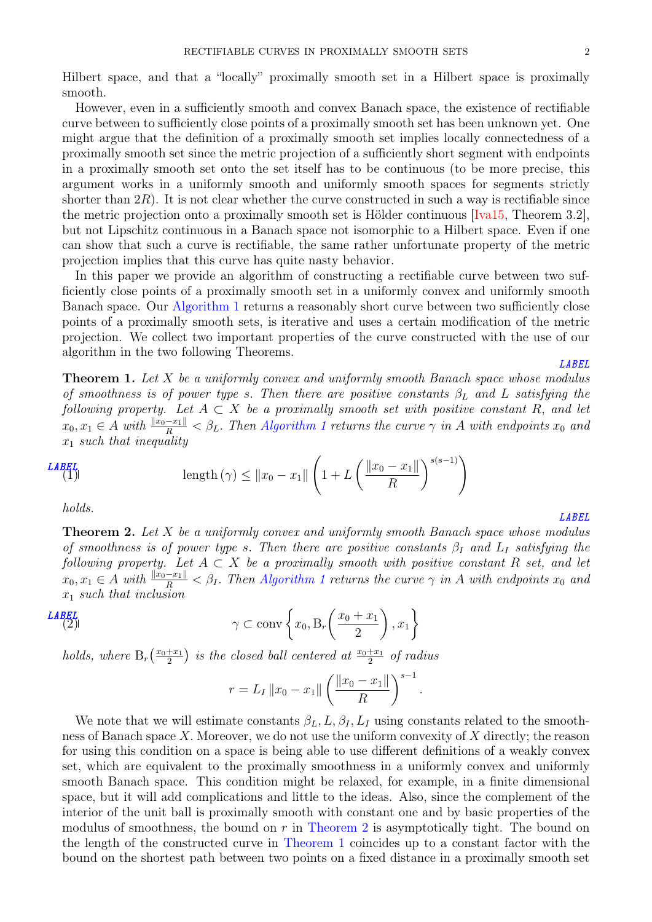Hilbert space, and that a "locally" proximally smooth set in a Hilbert space is proximally smooth.

However, even in a sufficiently smooth and convex Banach space, the existence of rectifiable curve between to sufficiently close points of a proximally smooth set has been unknown yet. One might argue that the definition of a proximally smooth set implies locally connectedness of a proximally smooth set since the metric projection of a sufficiently short segment with endpoints in a proximally smooth set onto the set itself has to be continuous (to be more precise, this argument works in a uniformly smooth and uniformly smooth spaces for segments strictly shorter than  $2R$ ). It is not clear whether the curve constructed in such a way is rectifiable since the metric projection onto a proximally smooth set is Hölder continuous  $[Iva15, Theorem 3.2],$  $[Iva15, Theorem 3.2],$ but not Lipschitz continuous in a Banach space not isomorphic to a Hilbert space. Even if one can show that such a curve is rectifiable, the same rather unfortunate property of the metric projection implies that this curve has quite nasty behavior.

In this paper we provide an algorithm of constructing a rectifiable curve between two sufficiently close points of a proximally smooth set in a uniformly convex and uniformly smooth Banach space. Our [Algorithm](#page-7-0) [1](#page-7-0) returns a reasonably short curve between two sufficiently close points of a proximally smooth sets, is iterative and uses a certain modification of the metric projection. We collect two important properties of the curve constructed with the use of our algorithm in the two following Theorems.

#### [LABEL](thm:rectifable_curve)

<span id="page-1-1"></span>**Theorem 1.** Let  $X$  be a uniformly convex and uniformly smooth Banach space whose modulus of smoothness is of power type s. Then there are positive constants  $\beta_L$  and L satisfying the following property. Let  $A \subset X$  be a proximally smooth set with positive constant R, and let  $x_0, x_1 \in A$  $x_0, x_1 \in A$  $x_0, x_1 \in A$  with  $\frac{\|x_0 - x_1\|}{R} < \beta_L$ . Then [Algorithm](#page-7-0) 1 returns the curve  $\gamma$  in A with endpoints  $x_0$  and  $x_1$  such that inequality

$$
LABFL
$$

$$
\text{Length}(\gamma) \leq ||x_0 - x_1|| \left( 1 + L \left( \frac{||x_0 - x_1||}{R} \right)^{s(s-1)} \right)
$$

holds.

<span id="page-1-0"></span>**Theorem 2.** Let  $X$  be a uniformly convex and uniformly smooth Banach space whose modulus of smoothness is of power type s. Then there are positive constants  $\beta_I$  and  $L_I$  satisfying the following property. Let  $A \subset X$  be a proximally smooth with positive constant R set, and let  $x_0, x_1 \in A$  $x_0, x_1 \in A$  $x_0, x_1 \in A$  with  $\frac{\|x_0 - x_1\|}{R} < \beta_I$ . Then [Algorithm](#page-7-0) 1 returns the curve  $\gamma$  in A with endpoints  $x_0$  and  $x_1$  such that inclusion

$$
\gamma \subset \operatorname{conv}\left\{x_0, \operatorname{B}_r\left(\frac{x_0 + x_1}{2}\right), x_1\right\}
$$

holds, where  $B_r\left(\frac{x_0+x_1}{2}\right)$  $\frac{+x_1}{2}$ ) is the closed ball centered at  $\frac{x_0+x_1}{2}$  of radius

$$
r = L_I \|x_0 - x_1\| \left(\frac{\|x_0 - x_1\|}{R}\right)^{s-1}.
$$

We note that we will estimate constants  $\beta_L, L, \beta_I, L_I$  using constants related to the smoothness of Banach space  $X$ . Moreover, we do not use the uniform convexity of  $X$  directly; the reason for using this condition on a space is being able to use different definitions of a weakly convex set, which are equivalent to the proximally smoothness in a uniformly convex and uniformly smooth Banach space. This condition might be relaxed, for example, in a finite dimensional space, but it will add complications and little to the ideas. Also, since the complement of the interior of the unit ball is proximally smooth with constant one and by basic properties of the modulus of smoothness, the bound on  $r$  in [Theorem](#page-1-0) [2](#page-1-0) is asymptotically tight. The bound on the length of the constructed curve in [Theorem](#page-1-1) [1](#page-1-1) coincides up to a constant factor with the bound on the shortest path between two points on a fixed distance in a proximally smooth set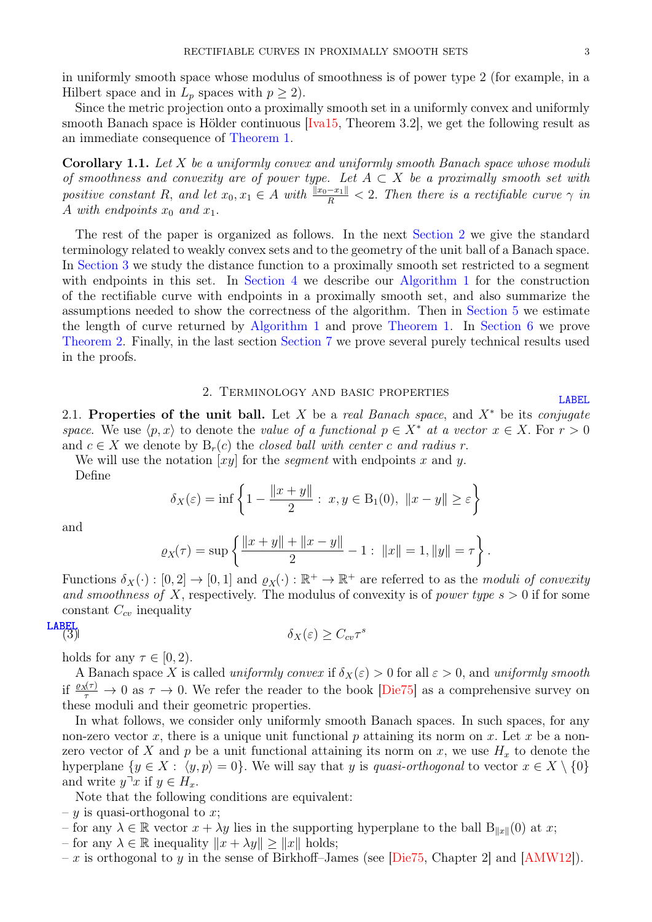[LABEL](sec:notation)

in uniformly smooth space whose modulus of smoothness is of power type 2 (for example, in a Hilbert space and in  $L_p$  spaces with  $p \geq 2$ ).

Since the metric projection onto a proximally smooth set in a uniformly convex and uniformly smooth Banach space is Hölder continuous  $[Ira15, Theorem 3.2]$ , we get the following result as an immediate consequence of [Theorem](#page-1-1) [1.](#page-1-1)

**Corollary 1.1.** Let  $X$  be a uniformly convex and uniformly smooth Banach space whose moduli of smoothness and convexity are of power type. Let  $A \subset X$  be a proximally smooth set with positive constant R, and let  $x_0, x_1 \in A$  with  $\frac{\|x_0 - x_1\|}{R} < 2$ . Then there is a rectifiable curve  $\gamma$  in A with endpoints  $x_0$  and  $x_1$ .

The rest of the paper is organized as follows. In the next [Section](#page-2-0) [2](#page-2-0) we give the standard terminology related to weakly convex sets and to the geometry of the unit ball of a Banach space. In [Section](#page-4-0) [3](#page-4-0) we study the distance function to a proximally smooth set restricted to a segment with endpoints in this set. In [Section](#page-6-0) [4](#page-6-0) we describe our [Algorithm](#page-7-0) [1](#page-7-0) for the construction of the rectifiable curve with endpoints in a proximally smooth set, and also summarize the assumptions needed to show the correctness of the algorithm. Then in [Section](#page-8-0) [5](#page-8-0) we estimate the length of curve returned by [Algorithm](#page-7-0) [1](#page-7-0) and prove [Theorem](#page-1-1) [1.](#page-1-1) In [Section](#page-9-0) [6](#page-9-0) we prove [Theorem](#page-1-0) [2.](#page-1-0) Finally, in the last section [Section](#page-12-0) [7](#page-12-0) we prove several purely technical results used in the proofs.

#### 2. Terminology and basic properties

<span id="page-2-0"></span>2.1. Properties of the unit ball. Let X be a real Banach space, and  $X^*$  be its conjugate space. We use  $\langle p, x \rangle$  to denote the value of a functional  $p \in X^*$  at a vector  $x \in X$ . For  $r > 0$ and  $c \in X$  we denote by  $B_r(c)$  the closed ball with center c and radius r.

We will use the notation  $[xy]$  for the *segment* with endpoints x and y.

Define

$$
\delta_X(\varepsilon) = \inf \left\{ 1 - \frac{\|x + y\|}{2} : x, y \in B_1(0), \|x - y\| \ge \varepsilon \right\}
$$

and

$$
\varrho_X(\tau) = \sup \left\{ \frac{\|x+y\| + \|x-y\|}{2} - 1: \|x\| = 1, \|y\| = \tau \right\}.
$$

Functions  $\delta_X(\cdot) : [0,2] \to [0,1]$  and  $\varrho_X(\cdot) : \mathbb{R}^+ \to \mathbb{R}^+$  are referred to as the moduli of convexity and smoothness of X, respectively. The modulus of convexity is of power type  $s > 0$  if for some constant  $C_{cv}$  inequality

**LABEL**  
(3) 
$$
\delta_X(\varepsilon) \geq C_{cv} \tau^s
$$

holds for any  $\tau \in [0, 2)$ .

A Banach space X is called uniformly convex if  $\delta_X(\varepsilon) > 0$  for all  $\varepsilon > 0$ , and uniformly smooth if  $\frac{\varrho_X(\tau)}{\tau} \to 0$  as  $\tau \to 0$ . We refer the reader to the book [\[Die75\]](#page-14-15) as a comprehensive survey on these moduli and their geometric properties.

In what follows, we consider only uniformly smooth Banach spaces. In such spaces, for any non-zero vector x, there is a unique unit functional  $p$  attaining its norm on x. Let  $x$  be a nonzero vector of X and p be a unit functional attaining its norm on x, we use  $H_x$  to denote the hyperplane  $\{y \in X : \langle y, p \rangle = 0\}$ . We will say that y is quasi-orthogonal to vector  $x \in X \setminus \{0\}$ and write  $y^{\mathsf{T}} x$  if  $y \in H_x$ .

Note that the following conditions are equivalent:

- $y$  is quasi-orthogonal to x;
- for any  $\lambda \in \mathbb{R}$  vector  $x + \lambda y$  lies in the supporting hyperplane to the ball  $B_{\|x\|}(0)$  at x;
- for any  $\lambda \in \mathbb{R}$  inequality  $||x + \lambda y|| \ge ||x||$  holds;
- x is orthogonal to y in the sense of Birkhoff–James (see [\[Die75,](#page-14-15) Chapter 2] and [\[AMW12\]](#page-14-16)).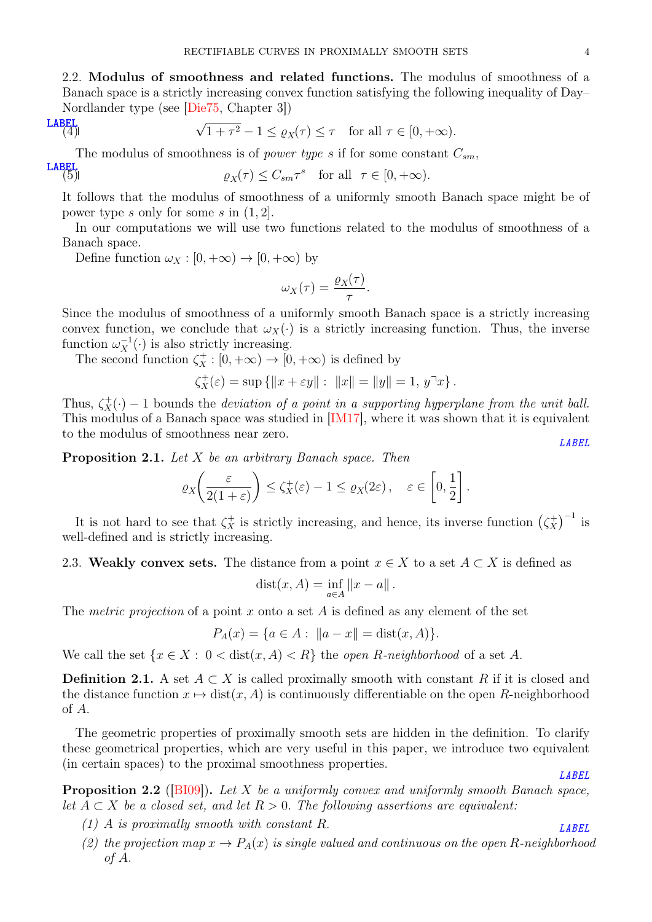2.2. Modulus of smoothness and related functions. The modulus of smoothness of a Banach space is a strictly increasing convex function satisfying the following inequality of Day– Nordlander type (see [\[Die75,](#page-14-15) Chapter 3])

# $\frac{LABEL}{4}$  $\frac{LABEL}{4}$  $\frac{LABEL}{4}$

<span id="page-3-3"></span>
$$
\sqrt{1+\tau^2} - 1 \le \varrho_X(\tau) \le \tau \quad \text{for all } \tau \in [0, +\infty).
$$

The modulus of smoothness is of *power type s* if for some constant  $C_{sm}$ ,

$$
\mathbf{LABEL}
$$

<span id="page-3-2"></span>
$$
\varrho_X(\tau) \le C_{sm}\tau^s \quad \text{for all} \ \ \tau \in [0, +\infty).
$$

It follows that the modulus of smoothness of a uniformly smooth Banach space might be of power type s only for some s in  $(1, 2]$ .

In our computations we will use two functions related to the modulus of smoothness of a Banach space.

Define function  $\omega_X : [0, +\infty) \to [0, +\infty)$  by

$$
\omega_X(\tau) = \frac{\varrho_X(\tau)}{\tau}.
$$

Since the modulus of smoothness of a uniformly smooth Banach space is a strictly increasing convex function, we conclude that  $\omega_X(\cdot)$  is a strictly increasing function. Thus, the inverse function  $\omega_X^{-1}(\cdot)$  is also strictly increasing.

The second function  $\zeta_X^+ : [0, +\infty) \to [0, +\infty)$  is defined by

$$
\zeta_X^+(\varepsilon)=\sup\left\{\|x+\varepsilon y\|:\ \|x\|=\|y\|=1,\,y^\neg x\right\}.
$$

Thus,  $\zeta_X^+(\cdot) - 1$  bounds the *deviation of a point in a supporting hyperplane from the unit ball.* This modulus of a Banach space was studied in [\[IM17\]](#page-14-17), where it was shown that it is equivalent to the modulus of smoothness near zero.

<span id="page-3-1"></span>**Proposition 2.1.** Let  $X$  be an arbitrary Banach space. Then

$$
\varrho_X\bigg(\frac{\varepsilon}{2(1+\varepsilon)}\bigg) \le \zeta_X^+(\varepsilon) - 1 \le \varrho_X(2\varepsilon), \quad \varepsilon \in \left[0, \frac{1}{2}\right].
$$

It is not hard to see that  $\zeta_X^+$  is strictly increasing, and hence, its inverse function  $(\zeta_X^+$  $\binom{+}{X}^{-1}$  is well-defined and is strictly increasing.

2.3. Weakly convex sets. The distance from a point  $x \in X$  to a set  $A \subset X$  is defined as

$$
dist(x, A) = \inf_{a \in A} ||x - a||.
$$

The metric projection of a point  $x$  onto a set  $A$  is defined as any element of the set

$$
P_A(x) = \{a \in A : ||a - x|| = \text{dist}(x, A)\}.
$$

We call the set  $\{x \in X : 0 < \text{dist}(x, A) < R\}$  the *open R-neighborhood* of a set A.

**Definition 2.1.** A set  $A \subset X$  is called proximally smooth with constant R if it is closed and the distance function  $x \mapsto \text{dist}(x, A)$  is continuously differentiable on the open R-neighborhood of  $A$ .

The geometric properties of proximally smooth sets are hidden in the definition. To clarify these geometrical properties, which are very useful in this paper, we introduce two equivalent (in certain spaces) to the proximal smoothness properties. [LABEL](prop:projection_continuity)

<span id="page-3-0"></span>**Proposition 2.2** ([\[BI09\]](#page-14-10)). Let X be a uniformly convex and uniformly smooth Banach space, let  $A \subset X$  be a closed set, and let  $R > 0$ . The following assertions are equivalent:

- (1) A is proximally smooth with constant R.  $\blacksquare$
- (2) the projection map  $x \to P_A(x)$  is single valued and continuous on the open R-neighborhood of  $A$ .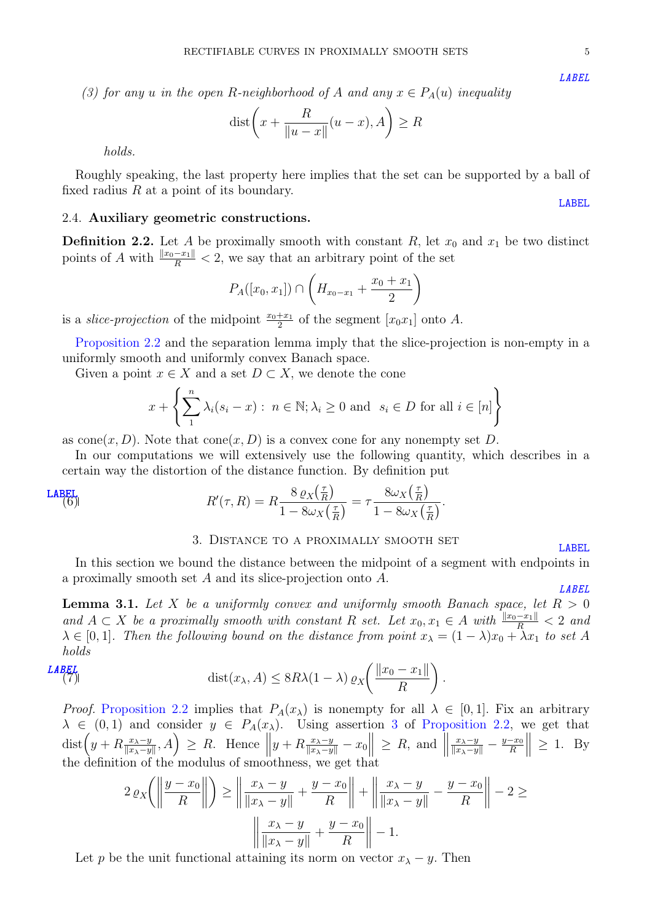<span id="page-4-1"></span>(3) for any u in the open R-neighborhood of A and any  $x \in P_A(u)$  inequality

$$
\text{dist}\bigg(x + \frac{R}{\|u - x\|}(u - x), A\bigg) \ge R
$$

holds.

Roughly speaking, the last property here implies that the set can be supported by a ball of fixed radius  $R$  at a point of its boundary. [LABEL](subsec:construction)

## 2.4. Auxiliary geometric constructions.

**Definition 2.2.** Let A be proximally smooth with constant R, let  $x_0$  and  $x_1$  be two distinct points of A with  $\frac{||x_0 - x_1||}{R} < 2$ , we say that an arbitrary point of the set

$$
P_A([x_0, x_1]) \cap \left( H_{x_0 - x_1} + \frac{x_0 + x_1}{2} \right)
$$

is a *slice-projection* of the midpoint  $\frac{x_0+x_1}{2}$  of the segment  $[x_0x_1]$  onto A.

[Proposition](#page-3-0) [2.2](#page-3-0) and the separation lemma imply that the slice-projection is non-empty in a uniformly smooth and uniformly convex Banach space.

Given a point  $x \in X$  and a set  $D \subset X$ , we denote the cone

$$
x + \left\{ \sum_{1}^{n} \lambda_i (s_i - x) : n \in \mathbb{N}; \lambda_i \ge 0 \text{ and } s_i \in D \text{ for all } i \in [n] \right\}
$$

as cone $(x, D)$ . Note that cone $(x, D)$  is a convex cone for any nonempty set D.

In our computations we will extensively use the following quantity, which describes in a certain way the distortion of the distance function. By definition put

$$
R'(\tau, R) = R \frac{8 \varrho_X(\frac{\tau}{R})}{1 - 8\omega_X(\frac{\tau}{R})} = \tau \frac{8\omega_X(\frac{\tau}{R})}{1 - 8\omega_X(\frac{\tau}{R})}.
$$

#### <span id="page-4-2"></span>3. Distance to a proximally smooth set [LABEL](sec:distance_func)

<span id="page-4-0"></span>In this section we bound the distance between the midpoint of a segment with endpoints in a proximally smooth set  $A$  and its slice-projection onto  $A$ .

<span id="page-4-3"></span>**Lemma 3.1.** Let X be a uniformly convex and uniformly smooth Banach space, let  $R > 0$ and  $A \subset X$  be a proximally smooth with constant R set. Let  $x_0, x_1 \in A$  with  $\frac{||x_0 - x_1||}{R} < 2$  and  $\lambda \in [0,1]$ . Then the following bound on the distance from point  $x_{\lambda} = (1 - \lambda)x_0 + \lambda x_1$  to set A holds

$$
\text{List}(x_{\lambda}, A) \leq 8R\lambda(1-\lambda) \, \varrho_X \bigg( \frac{\|x_0 - x_1\|}{R} \bigg) \, .
$$

*Proof.* [Proposition](#page-3-0) [2.2](#page-3-0) implies that  $P_A(x_\lambda)$  is nonempty for all  $\lambda \in [0, 1]$ . Fix an arbitrary  $\lambda \in (0,1)$  and consider  $y \in P_A(x_\lambda)$ . Using assertion [3](#page-4-1) of [Proposition](#page-3-0) [2.2,](#page-3-0) we get that  $\text{dist}\left(y + R \frac{x_{\lambda}-y}{\|x_{\lambda}-y\|}\right)$  $\left[\frac{x_{\lambda}-y}{\|x_{\lambda}-y\|},A\right] \geq R.$  Hence  $\left\|y + R\frac{x_{\lambda}-y}{\|x_{\lambda}-y\|} - x_0\right\| \geq R$ , and  $\|$  $\frac{x_{\lambda}-y}{\|x_{\lambda}-y\|} - \frac{y-x_0}{R}$  $\boldsymbol{R}$  $\parallel$   $\geq$  1. By the definition of the modulus of smoothness, we get that

$$
2 \varrho_X \left( \left\| \frac{y - x_0}{R} \right\| \right) \ge \left\| \frac{x_\lambda - y}{\|x_\lambda - y\|} + \frac{y - x_0}{R} \right\| + \left\| \frac{x_\lambda - y}{\|x_\lambda - y\|} - \frac{y - x_0}{R} \right\| - 2 \ge \left\| \frac{x_\lambda - y}{\|x_\lambda - y\|} + \frac{y - x_0}{R} \right\| - 1.
$$

Let p be the unit functional attaining its norm on vector  $x_{\lambda} - y$ . Then

[LABEL](ass:equiv_ps_supp)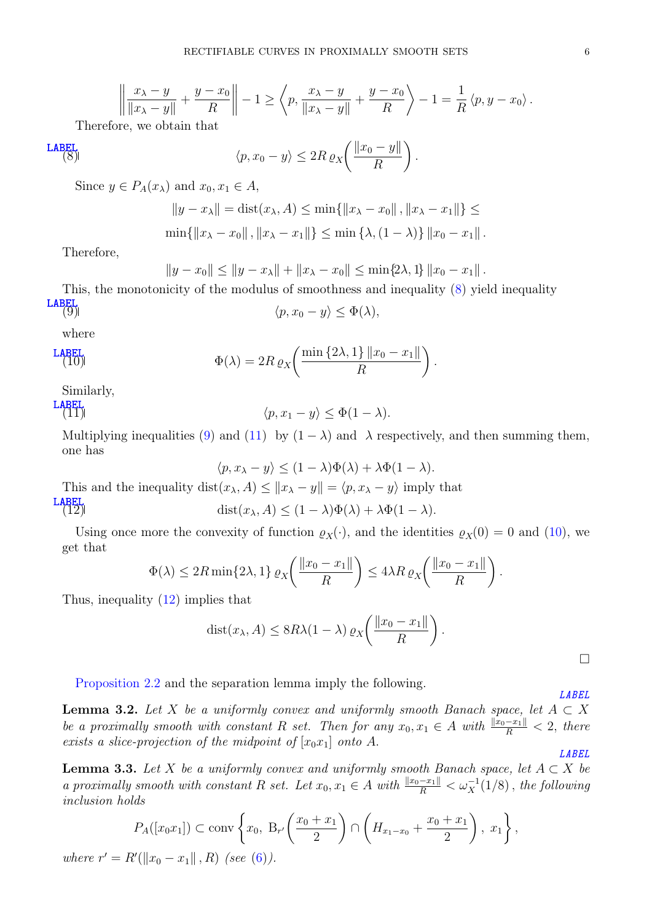$$
\left\|\frac{x_{\lambda}-y}{\|x_{\lambda}-y\|}+\frac{y-x_0}{R}\right\|-1\geq\left\langle p,\frac{x_{\lambda}-y}{\|x_{\lambda}-y\|}+\frac{y-x_0}{R}\right\rangle-1=\frac{1}{R}\left\langle p,y-x_0\right\rangle.
$$

Therefore, we obtain that

$$
\text{LABEL}\atop{\text{(8)}}
$$
\n
$$
\langle p, x_0 - y \rangle \leq 2R \, \varrho_X \bigg( \frac{\|x_0 - y\|}{R} \bigg).
$$

Since  $y \in P_A(x_\lambda)$  and  $x_0, x_1 \in A$ ,

<span id="page-5-0"></span>
$$
||y - x_{\lambda}|| = \text{dist}(x_{\lambda}, A) \le \min\{||x_{\lambda} - x_0||, ||x_{\lambda} - x_1||\} \le
$$
  

$$
\min\{||x_{\lambda} - x_0||, ||x_{\lambda} - x_1||\} \le \min\{\lambda, (1 - \lambda)\} ||x_0 - x_1||.
$$

Therefore,

$$
||y - x_0|| \le ||y - x_\lambda|| + ||x_\lambda - x_0|| \le \min\{2\lambda, 1\} ||x_0 - x_1||.
$$

This, the monotonicity of the modulus of smoothness and inequality [\(8\)](#page-5-0) yield inequality [LABEL](eq:Phi_e_lambda)  $\langle p, x_0 - y \rangle \leq \Phi(\lambda),$ 

<span id="page-5-3"></span><span id="page-5-1"></span>
$$
\langle p, x_0 - y \rangle \le \Phi(\lambda),
$$

where

$$
\Phi(\lambda) = 2R \, \varrho_X \bigg( \frac{\min\left\{2\lambda, 1\right\} \|x_0 - x_1\|}{R} \bigg).
$$

Similarly,

LABEL  
(11) 
$$
\langle p, x_1 - y \rangle \leq \Phi(1 - \lambda)
$$
.

Multiplying inequalities [\(9\)](#page-5-1) and [\(11\)](#page-5-2) by  $(1 - \lambda)$  and  $\lambda$  respectively, and then summing them, one has

<span id="page-5-4"></span><span id="page-5-2"></span> $\langle p, x_{\lambda} - y \rangle < (1 - \lambda) \Phi(\lambda) + \lambda \Phi(1 - \lambda).$ 

This and the inequality dist $(x_{\lambda}, A) \leq ||x_{\lambda} - y|| = \langle p, x_{\lambda} - y \rangle$  imply that

LABEL  
(12) 
$$
\text{dist}(x_{\lambda}, A) \le (1 - \lambda)\Phi(\lambda) + \lambda\Phi(1 - \lambda).
$$

Using once more the convexity of function  $\varrho_X(\cdot)$ , and the identities  $\varrho_X(0) = 0$  and [\(10\)](#page-5-3), we get that

$$
\Phi(\lambda) \le 2R \min\{2\lambda, 1\} \varrho_X\bigg(\frac{\|x_0 - x_1\|}{R}\bigg) \le 4\lambda R \varrho_X\bigg(\frac{\|x_0 - x_1\|}{R}\bigg).
$$

Thus, inequality [\(12\)](#page-5-4) implies that

$$
dist(x_{\lambda}, A) \leq 8R\lambda(1-\lambda) \exp\left(\frac{\|x_0 - x_1\|}{R}\right).
$$

[Proposition](#page-3-0) [2.2](#page-3-0) and the separation lemma imply the following.

<span id="page-5-5"></span>**Lemma 3.2.** Let X be a uniformly convex and uniformly smooth Banach space, let  $A \subset X$ be a proximally smooth with constant R set. Then for any  $x_0, x_1 \in A$  with  $\frac{\|x_0 - x_1\|}{R} < 2$ , there exists a slice-projection of the midpoint of  $[x_0x_1]$  onto A.

<span id="page-5-6"></span>**Lemma 3.3.** Let X be a uniformly convex and uniformly smooth Banach space, let  $A \subset X$  be a proximally smooth with constant R set. Let  $x_0, x_1 \in A$  with  $\frac{\|x_0 - x_1\|}{R} < \omega_X^{-1}(1/8)$ , the following inclusion holds

$$
P_A([x_0x_1]) \subset \text{conv}\left\{x_0, B_{r'}\left(\frac{x_0+x_1}{2}\right) \cap \left(H_{x_1-x_0} + \frac{x_0+x_1}{2}\right), x_1\right\},\
$$

where  $r' = R'(\|x_0 - x_1\|, R)$  (see [\(6\)](#page-4-2)).

[LABEL](lem:slice_proj_existence)

[LABEL](lem:weakly_convex_sausage_waist)

 $\Box$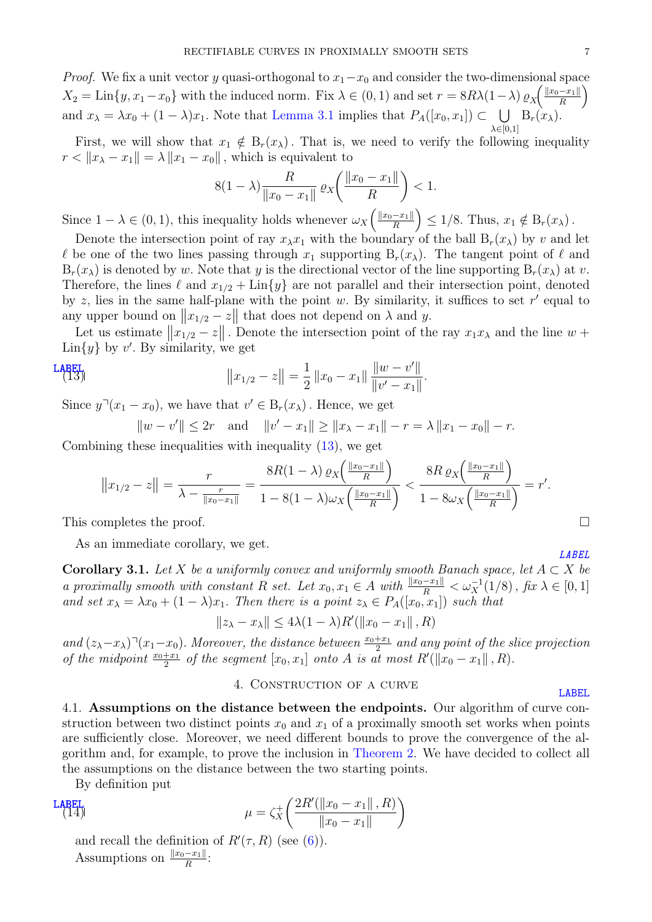*Proof.* We fix a unit vector y quasi-orthogonal to  $x_1-x_0$  and consider the two-dimensional space  $X_2 = \text{Lin}\{y, x_1 - x_0\}$  with the induced norm. Fix  $\lambda \in (0, 1)$  and set  $r = 8R\lambda(1 - \lambda) \varrho_X \left( \frac{\|x_0 - x_1\|}{R} \right)$  $\frac{-x_1\|}{R}$ and  $x_{\lambda} = \lambda x_0 + (1 - \lambda)x_1$ . Note that [Lemma](#page-4-3) [3.1](#page-4-3) implies that  $P_A([x_0, x_1]) \subset \bigcup$  $\lambda \in [0,1]$  $B_r(x_\lambda)$ .

First, we will show that  $x_1 \notin B_r(x_\lambda)$ . That is, we need to verify the following inequality  $r < ||x_{\lambda} - x_1|| = \lambda ||x_1 - x_0||$ , which is equivalent to

$$
8(1 - \lambda) \frac{R}{\|x_0 - x_1\|} \, \varrho_X \bigg( \frac{\|x_0 - x_1\|}{R} \bigg) < 1.
$$

Since  $1 - \lambda \in (0, 1)$ , this inequality holds whenever  $\omega_X\left(\frac{\|x_0 - x_1\|}{R}\right)$  $\left( \frac{-x_1 \parallel}{R} \right) \leq 1/8$ . Thus,  $x_1 \notin B_r(x_\lambda)$ .

Denote the intersection point of ray  $x_{\lambda}x_1$  with the boundary of the ball  $B_r(x_{\lambda})$  by v and let  $\ell$  be one of the two lines passing through  $x_1$  supporting  $B_r(x_\lambda)$ . The tangent point of  $\ell$  and  $B_r(x_\lambda)$  is denoted by w. Note that y is the directional vector of the line supporting  $B_r(x_\lambda)$  at v. Therefore, the lines  $\ell$  and  $x_{1/2} + \text{Lin}\{y\}$  are not parallel and their intersection point, denoted by z, lies in the same half-plane with the point w. By similarity, it suffices to set  $r'$  equal to any upper bound on  $||x_{1/2} - z||$  that does not depend on  $\lambda$  and  $y$ .

Let us estimate  $||x_{1/2} - z||$ . Denote the intersection point of the ray  $x_1 x_\lambda$  and the line  $w +$  $\text{Lin}\lbrace y \rbrace$  by v'. By similarity, we get

LABEL  
(13) 
$$
||x_{1/2} - z|| = \frac{1}{2} ||x_0 - x_1|| \frac{||w - v'||}{||v' - x_1||}.
$$

Since  $y^{\mathsf{T}}(x_1 - x_0)$ , we have that  $v' \in B_r(x_\lambda)$ . Hence, we get

<span id="page-6-1"></span> $||w - v'|| \leq 2r$  and  $||v' - x_1|| \geq ||x_{\lambda} - x_1|| - r = \lambda ||x_1 - x_0|| - r.$ 

Combining these inequalities with inequality [\(13\)](#page-6-1), we get

$$
||x_{1/2} - z|| = \frac{r}{\lambda - \frac{r}{||x_0 - x_1||}} = \frac{8R(1 - \lambda) \exp\left(\frac{||x_0 - x_1||}{R}\right)}{1 - 8(1 - \lambda)\omega_X\left(\frac{||x_0 - x_1||}{R}\right)} < \frac{8R \exp\left(\frac{||x_0 - x_1||}{R}\right)}{1 - 8\omega_X\left(\frac{||x_0 - x_1||}{R}\right)} = r'.
$$

This completes the proof.  $\square$ 

As an immediate corollary, we get.

<span id="page-6-3"></span>**Corollary 3.1.** Let X be a uniformly convex and uniformly smooth Banach space, let  $A \subset X$  be a proximally smooth with constant R set. Let  $x_0, x_1 \in A$  with  $\frac{\|x_0 - x_1\|}{R} < \omega_X^{-1}(1/8)$ , fix  $\lambda \in [0, 1]$ and set  $x_{\lambda} = \lambda x_0 + (1 - \lambda)x_1$ . Then there is a point  $z_{\lambda} \in P_A([x_0, x_1])$  such that

$$
||z_{\lambda} - x_{\lambda}|| \le 4\lambda (1 - \lambda)R'(||x_0 - x_1||, R)
$$

and  $(z_\lambda-x_\lambda)^{\dagger}(x_1-x_0)$ . Moreover, the distance between  $\frac{x_0+x_1}{2}$  and any point of the slice projection of the midpoint  $\frac{x_0+x_1}{2}$  of the segment  $[x_0, x_1]$  onto A is at most  $R(\|x_0-x_1\|, R)$ .

## <span id="page-6-2"></span>4. Construction of a curve

[LABEL](sec:curve_construction)

[LABEL](cor:waist_distance_weak_c)

<span id="page-6-0"></span>4.1. Assumptions on the distance between the endpoints. Our algorithm of curve construction between two distinct points  $x_0$  and  $x_1$  of a proximally smooth set works when points are sufficiently close. Moreover, we need different bounds to prove the convergence of the algorithm and, for example, to prove the inclusion in [Theorem](#page-1-0) [2.](#page-1-0) We have decided to collect all the assumptions on the distance between the two starting points.

By definition put

LABEL  
(14) 
$$
\mu = \zeta_X^+ \left( \frac{2R'(\|x_0 - x_1\|, R)}{\|x_0 - x_1\|} \right)
$$

and recall the definition of  $R'(\tau, R)$  (see [\(6\)](#page-4-2)). Assumptions on  $\frac{\|x_0-x_1\|}{R}$ :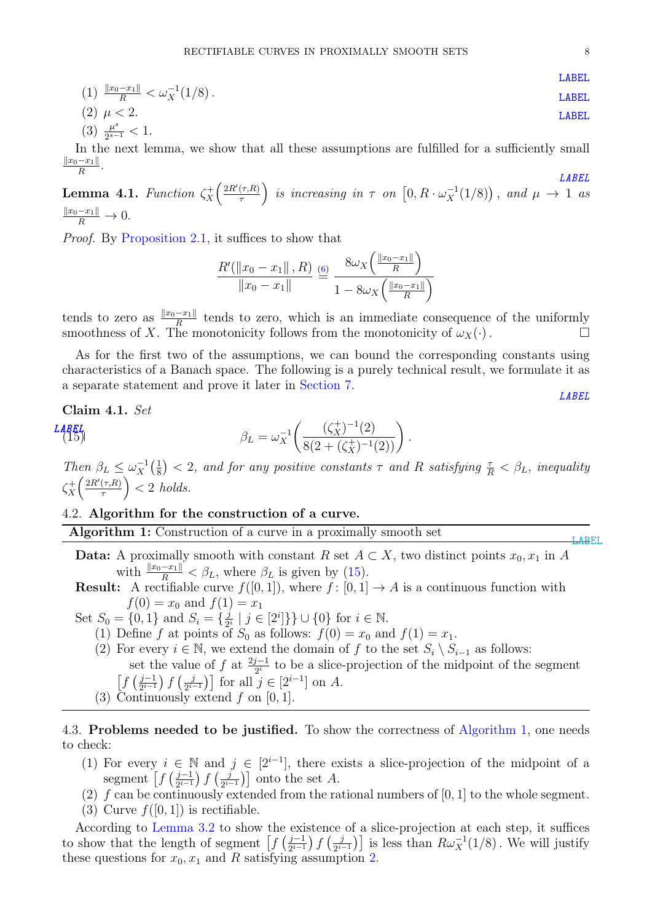$$
(1) \frac{\|x_0 - x_1\|}{R} < \omega_X^{-1}(1/8) \, .
$$
 **LABEL**

<span id="page-7-2"></span>
$$
(2) \mu < 2. \tag{3} \frac{\mu^s}{2^{s-1}} < 1.
$$

<span id="page-7-4"></span>In the next lemma, we show that all these assumptions are fulfilled for a sufficiently small  $||x_0-x_1||$  $\frac{-x_1\|}{R}$ .

<span id="page-7-5"></span>**Lemma 4.1.** Function  $\zeta_X^+$  $\frac{1}{X}\left(\frac{2R'(\tau,R)}{\tau}\right)$  $\left(\frac{(\tau,R)}{\tau}\right)$  is increasing in  $\tau$  on  $\left[0,R\cdot\omega_X^{-1}(1/8)\right)$ , and  $\mu\rightarrow 1$  as  $\frac{\|x_0-x_1\|}{R}\to 0.$ 

Proof. By [Proposition](#page-3-1) [2.1,](#page-3-1) it suffices to show that

$$
\frac{R'(\|x_0 - x_1\|, R)}{\|x_0 - x_1\|} \stackrel{\text{(6)}}{=} \frac{8\omega_X\left(\frac{\|x_0 - x_1\|}{R}\right)}{1 - 8\omega_X\left(\frac{\|x_0 - x_1\|}{R}\right)}
$$

 $\mathcal{L}_{\text{in}}$ 

<span id="page-7-1"></span>.

tends to zero as  $\frac{||x_0 - x_1||}{R}$  tends to zero, which is an immediate consequence of the uniformly smoothness of X. The monotonicity follows from the monotonicity of  $\omega_X(\cdot)$ .

As for the first two of the assumptions, we can bound the corresponding constants using characteristics of a Banach space. The following is a purely technical result, we formulate it as a separate statement and prove it later in [Section](#page-12-0) [7.](#page-12-0)

<span id="page-7-3"></span>**Claim 4.1.** Set  
\n
$$
\beta_L = \omega_X^{-1} \left( \frac{(\zeta_X^+)^{-1}(2)}{8(2 + (\zeta_X^+)^{-1}(2))} \right)
$$

Then  $\beta_L \leq \omega_X^{-1}$  $\frac{-1}{X}(\frac{1}{8})$  $(\frac{1}{8})$  < 2, and for any positive constants  $\tau$  and R satisfying  $\frac{\tau}{R}$  <  $\beta_L$ , inequality  $\zeta_X^+$  $\frac{1}{X}\left(\frac{2R'(\tau,R)}{\tau}\right)$  $\left(\frac{\tau,R)}{\tau}\right)$  < 2 holds.

#### 4.2. Algorithm for the construction of a curve.

<span id="page-7-0"></span>Algorithm 1: Construction of a curve in a proximally smooth set

- **Data:** A proximally smooth with constant  $R$  set  $A \subset X$ , two distinct points  $x_0, x_1$  in A with  $\frac{\|x_0 - x_1\|}{R} < \beta_L$ , where  $\beta_L$  is given by [\(15\)](#page-7-1).
- **Result:** A rectifiable curve  $f([0, 1])$ , where  $f:[0, 1] \rightarrow A$  is a continuous function with  $f(0) = x_0$  and  $f(1) = x_1$

Set  $S_0 = \{0, 1\}$  and  $S_i = \{\frac{j}{2}\}$  $\frac{j}{2^i} | j \in [2^i] \} \} \cup \{0\}$  for  $i \in \mathbb{N}$ .

- (1) Define f at points of  $S_0$  as follows:  $f(0) = x_0$  and  $f(1) = x_1$ .
- (2) For every  $i \in \mathbb{N}$ , we extend the domain of f to the set  $S_i \setminus S_{i-1}$  as follows: set the value of  $f$  at  $\frac{2j-1}{2^i}$  to be a slice-projection of the midpoint of the segment  $\int f\left(\frac{j-1}{2^{i-1}}\right)$  $\frac{j-1}{2^{i-1}}$ )  $f\left(\frac{j}{2^{i-1}}\right)$  $\left[\frac{j}{2^{i-1}}\right]$  for all  $j \in [2^{i-1}]$  on A.
- (3) Continuously extend  $f$  on [0, 1].

4.3. Problems needed to be justified. To show the correctness of [Algorithm](#page-7-0) [1,](#page-7-0) one needs to check:

- (1) For every  $i \in \mathbb{N}$  and  $j \in [2^{i-1}]$ , there exists a slice-projection of the midpoint of a segment  $\left[ f\left( \frac{j-1}{2^{i-1}}\right) \right]$  $\frac{j-1}{2^{i-1}}$ )  $f\left(\frac{j}{2^{i-1}}\right)$  $\left(\frac{j}{2^{i-1}}\right)$  onto the set A.
- (2)  $f$  can be continuously extended from the rational numbers of [0, 1] to the whole segment.
- (3) Curve  $f([0, 1])$  is rectifiable.

According to [Lemma](#page-5-5) [3.2](#page-5-5) to show the existence of a slice-projection at each step, it suffices to show that the length of segment  $\int f\left(\frac{j-1}{2^{i-1}}\right)$  $\frac{j-1}{2^{i-1}}$ )  $f\left(\frac{j}{2^{i-1}}\right)$  $\left[\frac{j}{2^{i-1}}\right]$  is less than  $R\omega_X^{-1}(1/8)$ . We will justify these questions for  $x_0, x_1$  and R satisfying assumption [2.](#page-7-2)

[LABEL](lem:small_mu)

[LABEL](claim:nasty)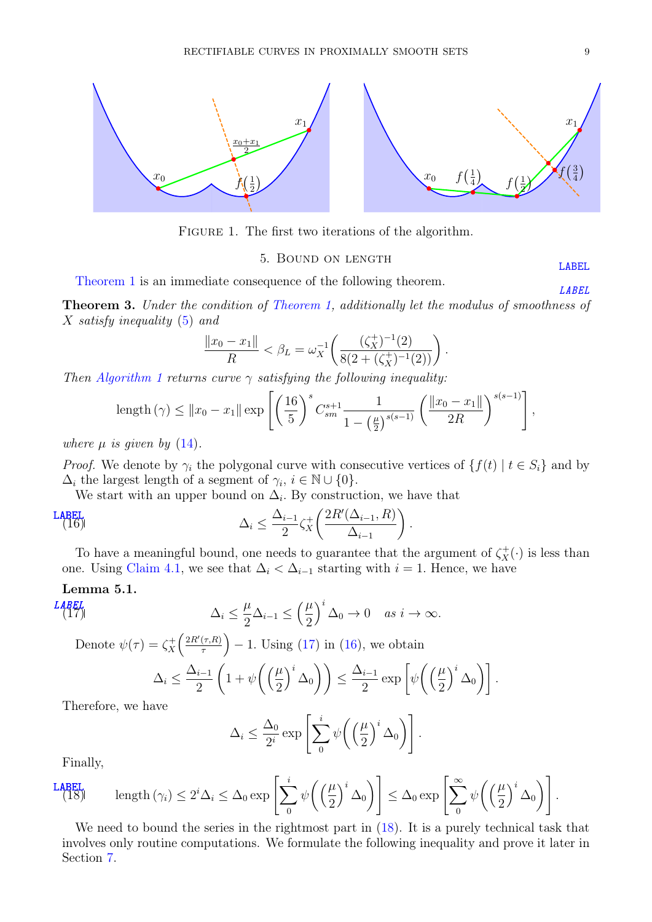

FIGURE 1. The first two iterations of the algorithm.

#### 5. Bound on length [LABEL](sec:length_bound)

 $\Delta_0$ ].

<span id="page-8-0"></span>[Theorem](#page-1-1) [1](#page-1-1) is an immediate consequence of the following theorem.

Theorem 3. Under the condition of [Theorem](#page-1-1) [1,](#page-1-1) additionally let the modulus of smoothness of  $X$  satisfy inequality [\(5\)](#page-3-2) and

$$
\frac{\|x_0 - x_1\|}{R} < \beta_L = \omega_X^{-1} \left( \frac{(\zeta_X^+)^{-1}(2)}{8(2 + (\zeta_X^+)^{-1}(2))} \right).
$$

Then [Algorithm](#page-7-0) [1](#page-7-0) returns curve  $\gamma$  satisfying the following inequality:

<span id="page-8-2"></span>length 
$$
(\gamma) \le ||x_0 - x_1|| \exp \left[ \left( \frac{16}{5} \right)^s C_{sm}^{s+1} \frac{1}{1 - \left( \frac{\mu}{2} \right)^{s(s-1)}} \left( \frac{||x_0 - x_1||}{2R} \right)^{s(s-1)} \right],
$$

where  $\mu$  is given by [\(14\)](#page-6-2).

*Proof.* We denote by  $\gamma_i$  the polygonal curve with consecutive vertices of  $\{f(t) | t \in S_i\}$  and by  $\Delta_i$  the largest length of a segment of  $\gamma_i$ ,  $i \in \mathbb{N} \cup \{0\}.$ 

We start with an upper bound on  $\Delta_i$ . By construction, we have that

$$
\Delta_i \leq \frac{\Delta_{i-1}}{2} \zeta_X^+ \left( \frac{2R'(\Delta_{i-1}, R)}{\Delta_{i-1}} \right).
$$

To have a meaningful bound, one needs to guarantee that the argument of  $\zeta_X^+(\cdot)$  is less than one. Using [Claim](#page-7-3) [4.1,](#page-7-3) we see that  $\Delta_i < \Delta_{i-1}$  starting with  $i = 1$ . Hence, we have

# Lemma 5.1.

L **ABEL**  
\n
$$
\Delta_i \leq \frac{\mu}{2} \Delta_{i-1} \leq \left(\frac{\mu}{2}\right)^i \Delta_0 \to 0 \quad as \ i \to \infty.
$$

Denote 
$$
\psi(\tau) = \zeta_X^+ \left( \frac{2R'(\tau, R)}{\tau} \right) - 1
$$
. Using (17) in (16), we obtain  

$$
\Delta_i \le \frac{\Delta_{i-1}}{2} \left( 1 + \psi \left( \left( \frac{\mu}{2} \right)^i \Delta_0 \right) \right) \le \frac{\Delta_{i-1}}{2} \exp \left[ \psi \left( \left( \frac{\mu}{2} \right)^i \Delta_0 \right) \right]
$$

Therefore, we have

<span id="page-8-1"></span>
$$
\Delta_i \leq \frac{\Delta_0}{2^i} \exp\left[\sum_0^i \psi\left(\left(\frac{\mu}{2}\right)^i \Delta_0\right)\right].
$$

<span id="page-8-3"></span>Finally,

LABET, length 
$$
(\gamma_i) \leq 2^i \Delta_i \leq \Delta_0 \exp \left[\sum_0^i \psi\left(\left(\frac{\mu}{2}\right)^i \Delta_0\right)\right] \leq \Delta_0 \exp \left[\sum_0^\infty \psi\left(\left(\frac{\mu}{2}\right)^i \Delta_0\right)\right].
$$
  
W, the length  $|A|$ 

We need to bound the series in the rightmost part in  $(18)$ . It is a purely technical task that involves only routine computations. We formulate the following inequality and prove it later in Section [7.](#page-12-0)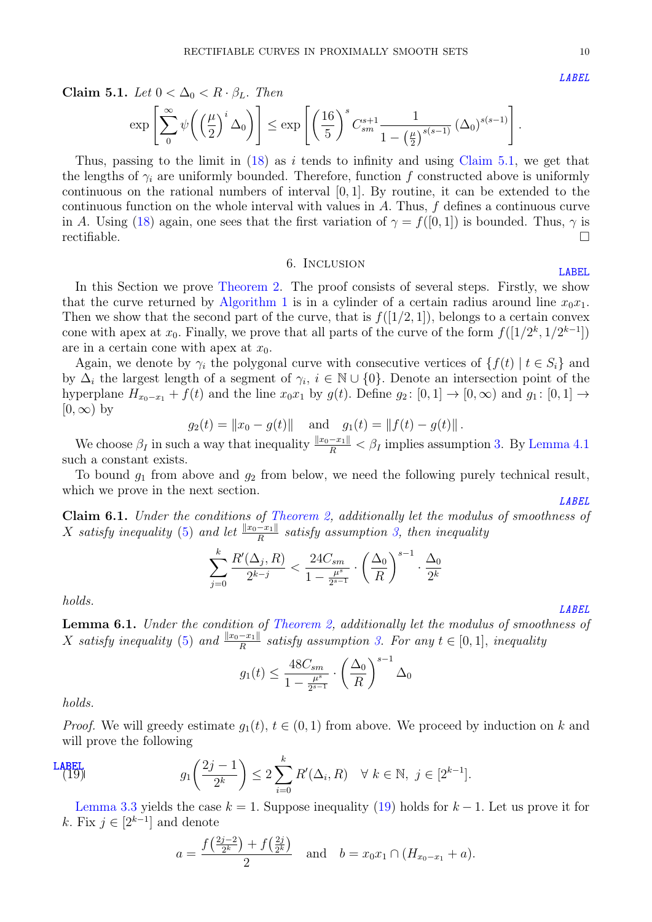<span id="page-9-1"></span>Claim 5.1. Let  $0 < \Delta_0 < R \cdot \beta_L$ . Then

$$
\exp\left[\sum_{0}^{\infty}\psi\bigg(\left(\frac{\mu}{2}\right)^{i}\Delta_0\bigg)\right] \leq \exp\left[\left(\frac{16}{5}\right)^{s}C_{sm}^{s+1}\frac{1}{1-\left(\frac{\mu}{2}\right)^{s(s-1)}}\left(\Delta_0\right)^{s(s-1)}\right].
$$

Thus, passing to the limit in  $(18)$  as *i* tends to infinity and using [Claim](#page-9-1) [5.1,](#page-9-1) we get that the lengths of  $\gamma_i$  are uniformly bounded. Therefore, function f constructed above is uniformly continuous on the rational numbers of interval [0, 1]. By routine, it can be extended to the continuous function on the whole interval with values in  $A$ . Thus,  $f$  defines a continuous curve in A. Using [\(18\)](#page-8-3) again, one sees that the first variation of  $\gamma = f([0, 1])$  is bounded. Thus,  $\gamma$  is  $\blacksquare$ rectifiable.  $\blacksquare$ 

#### 6. Inclusion

<span id="page-9-0"></span>In this Section we prove [Theorem](#page-1-0) [2.](#page-1-0) The proof consists of several steps. Firstly, we show that the curve returned by [Algorithm](#page-7-0) [1](#page-7-0) is in a cylinder of a certain radius around line  $x_0x_1$ . Then we show that the second part of the curve, that is  $f([1/2, 1])$ , belongs to a certain convex cone with apex at  $x_0$ . Finally, we prove that all parts of the curve of the form  $f([1/2^k, 1/2^{k-1}])$ are in a certain cone with apex at  $x_0$ .

Again, we denote by  $\gamma_i$  the polygonal curve with consecutive vertices of  $\{f(t) | t \in S_i\}$  and by  $\Delta_i$  the largest length of a segment of  $\gamma_i$ ,  $i \in \mathbb{N} \cup \{0\}$ . Denote an intersection point of the hyperplane  $H_{x_0-x_1} + f(t)$  and the line  $x_0x_1$  by  $g(t)$ . Define  $g_2 : [0, 1] \rightarrow [0, \infty)$  and  $g_1 : [0, 1] \rightarrow$  $[0, \infty)$  by

 $g_2(t) = ||x_0 - g(t)||$  and  $g_1(t) = ||f(t) - g(t)||$ .

We choose  $\beta_I$  in such a way that inequality  $\frac{||x_0 - x_1||}{R} < \beta_I$  implies assumption [3.](#page-7-4) By [Lemma](#page-7-5) [4.1](#page-7-5) such a constant exists.

To bound  $g_1$  from above and  $g_2$  from below, we need the following purely technical result, which we prove in the next section. [LABEL](claim:sum)

<span id="page-9-3"></span>Claim 6.1. Under the conditions of [Theorem](#page-1-0) [2,](#page-1-0) additionally let the modulus of smoothness of  $X$  satisfy inequality [\(5\)](#page-3-2) and let  $\frac{\|x_0 - x_1\|}{R}$  satisfy assumption [3,](#page-7-4) then inequality

$$
\sum_{j=0}^{k} \frac{R'(\Delta_j, R)}{2^{k-j}} < \frac{24C_{sm}}{1 - \frac{\mu^s}{2^{s-1}}} \cdot \left(\frac{\Delta_0}{R}\right)^{s-1} \cdot \frac{\Delta_0}{2^k}
$$

holds.

<span id="page-9-4"></span>Lemma 6.1. Under the condition of [Theorem](#page-1-0) [2,](#page-1-0) additionally let the modulus of smoothness of  $X$  satisfy inequality [\(5\)](#page-3-2) and  $\frac{||x_0-x_1||}{R}$  satisfy assumption [3.](#page-7-4) For any  $t \in [0,1]$ , inequality

$$
g_1(t) \le \frac{48C_{sm}}{1 - \frac{\mu^s}{2^{s-1}}} \cdot \left(\frac{\Delta_0}{R}\right)^{s-1} \Delta_0
$$

holds.

*Proof.* We will greedy estimate  $q_1(t)$ ,  $t \in (0, 1)$  from above. We proceed by induction on k and will prove the following

$$
\text{LABEL}\atop (19)\qquad \qquad g_1\left(\frac{2j-1}{2^k}\right) \le 2\sum_{i=0}^k R'(\Delta_i, R) \quad \forall \ k \in \mathbb{N}, \ j \in [2^{k-1}].
$$

[Lemma](#page-5-6) [3.3](#page-5-6) yields the case  $k = 1$ . Suppose inequality [\(19\)](#page-9-2) holds for  $k - 1$ . Let us prove it for k. Fix  $j \in [2^{k-1}]$  and denote

<span id="page-9-2"></span>
$$
a = \frac{f(\frac{2j-2}{2^k}) + f(\frac{2j}{2^k})}{2}
$$
 and  $b = x_0x_1 \cap (H_{x_0-x_1} + a)$ .

[LABEL](claim:bounder)

[LABEL](sec:inclusion)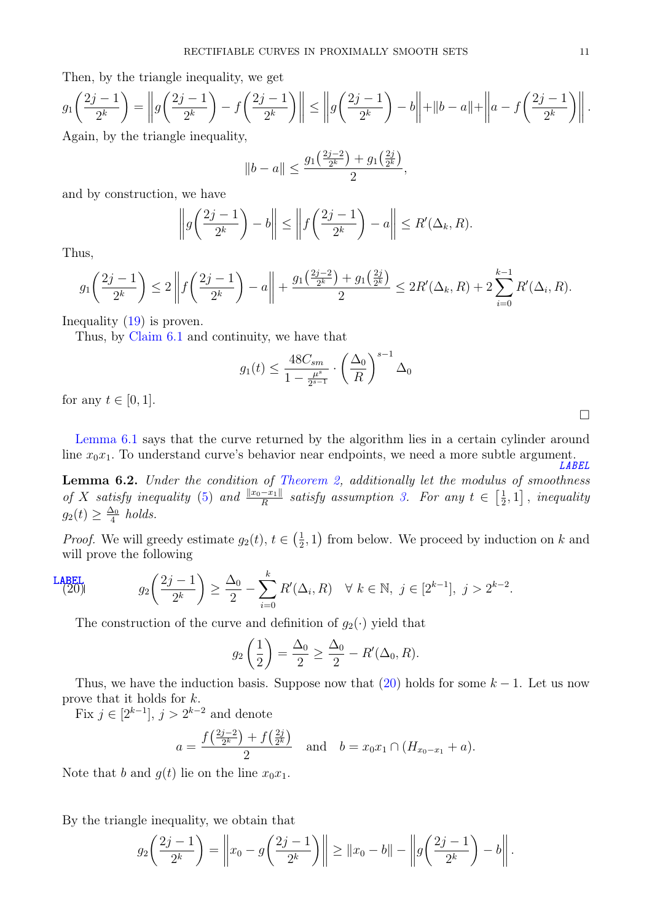Then, by the triangle inequality, we get

$$
g_1\left(\frac{2j-1}{2^k}\right) = \left\| g\left(\frac{2j-1}{2^k}\right) - f\left(\frac{2j-1}{2^k}\right) \right\| \le \left\| g\left(\frac{2j-1}{2^k}\right) - b \right\| + \|b - a\| + \left\| a - f\left(\frac{2j-1}{2^k}\right) \right\|.
$$
 Again, by the triangle inequality,

yuanty,

$$
||b - a|| \le \frac{g_1(\frac{2j-2}{2^k}) + g_1(\frac{2j}{2^k})}{2},
$$

and by construction, we have

$$
\left\|g\left(\frac{2j-1}{2^k}\right)-b\right\| \le \left\|f\left(\frac{2j-1}{2^k}\right)-a\right\| \le R'(\Delta_k, R).
$$

Thus,

$$
g_1\left(\frac{2j-1}{2^k}\right) \le 2\left\|f\left(\frac{2j-1}{2^k}\right) - a\right\| + \frac{g_1\left(\frac{2j-2}{2^k}\right) + g_1\left(\frac{2j}{2^k}\right)}{2} \le 2R'(\Delta_k, R) + 2\sum_{i=0}^{k-1} R'(\Delta_i, R).
$$

Inequality [\(19\)](#page-9-2) is proven.

Thus, by [Claim](#page-9-3) [6.1](#page-9-3) and continuity, we have that

$$
g_1(t) \le \frac{48C_{sm}}{1 - \frac{\mu^s}{2^{s-1}}} \cdot \left(\frac{\Delta_0}{R}\right)^{s-1} \Delta_0
$$

for any  $t \in [0, 1]$ .

[Lemma](#page-9-4) [6.1](#page-9-4) says that the curve returned by the algorithm lies in a certain cylinder around line  $x_0x_1$ . To understand curve's behavior near endpoints, we need a more subtle argument. [LABEL](lem:final_estimates2)

**Lemma 6.2.** Under the condition of [Theorem](#page-1-0) [2,](#page-1-0) additionally let the modulus of smoothness of X satisfy inequality [\(5\)](#page-3-2) and  $\frac{\|x_0 - x_1\|}{R}$  satisfy assumption [3.](#page-7-4) For any  $t \in \left[\frac{1}{2}\right]$  $\left[\frac{1}{2},1\right]$ , inequality  $g_2(t) \geq \frac{\Delta_0}{4}$  $rac{\Delta_0}{4}$  holds.

*Proof.* We will greedy estimate  $g_2(t)$ ,  $t \in \left(\frac{1}{2}\right)$  $(\frac{1}{2}, 1)$  from below. We proceed by induction on k and will prove the following

$$
\frac{\text{LABEL}}{(20)} \qquad \qquad g_2\bigg(\frac{2j-1}{2^k}\bigg) \ge \frac{\Delta_0}{2} - \sum_{i=0}^k R'(\Delta_i, R) \quad \forall \ k \in \mathbb{N}, \ j \in [2^{k-1}], \ j > 2^{k-2}.
$$

<span id="page-10-0"></span>The construction of the curve and definition of  $g_2(\cdot)$  yield that

$$
g_2\left(\frac{1}{2}\right) = \frac{\Delta_0}{2} \ge \frac{\Delta_0}{2} - R'(\Delta_0, R).
$$

Thus, we have the induction basis. Suppose now that  $(20)$  holds for some  $k-1$ . Let us now prove that it holds for  $k$ .

Fix  $j \in [2^{k-1}], j > 2^{k-2}$  and denote

$$
a = \frac{f(\frac{2j-2}{2^k}) + f(\frac{2j}{2^k})}{2} \quad \text{and} \quad b = x_0 x_1 \cap (H_{x_0 - x_1} + a).
$$

Note that b and  $q(t)$  lie on the line  $x_0x_1$ .

By the triangle inequality, we obtain that

$$
g_2\left(\frac{2j-1}{2^k}\right) = \left\|x_0 - g\left(\frac{2j-1}{2^k}\right)\right\| \ge \|x_0 - b\| - \left\|g\left(\frac{2j-1}{2^k}\right) - b\right\|.
$$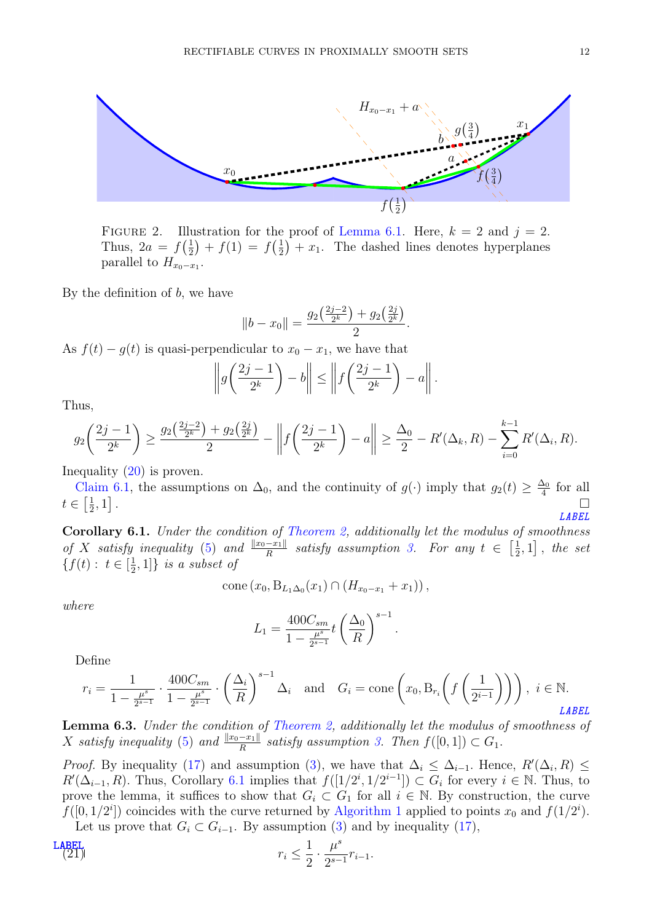

FIGURE 2. Illustration for the proof of [Lemma](#page-9-4) [6.1.](#page-9-4) Here,  $k = 2$  and  $j = 2$ . Thus,  $2a = f\left(\frac{1}{2}\right)$  $(\frac{1}{2}) + f(1) = f(\frac{1}{2})$  $(\frac{1}{2}) + x_1$ . The dashed lines denotes hyperplanes parallel to  $H_{x_0-x_1}$ .

By the definition of  $b$ , we have

$$
||b - x_0|| = \frac{g_2(\frac{2j-2}{2^k}) + g_2(\frac{2j}{2^k})}{2}.
$$

As  $f(t) - g(t)$  is quasi-perpendicular to  $x_0 - x_1$ , we have that

$$
\left\|g\left(\frac{2j-1}{2^k}\right)-b\right\| \le \left\|f\left(\frac{2j-1}{2^k}\right)-a\right\|.
$$

Thus,

$$
g_2\left(\frac{2j-1}{2^k}\right) \ge \frac{g_2\left(\frac{2j-2}{2^k}\right) + g_2\left(\frac{2j}{2^k}\right)}{2} - \left\| f\left(\frac{2j-1}{2^k}\right) - a \right\| \ge \frac{\Delta_0}{2} - R'(\Delta_k, R) - \sum_{i=0}^{k-1} R'(\Delta_i, R).
$$

Inequality [\(20\)](#page-10-0) is proven.

[Claim](#page-9-3) [6.1,](#page-9-3) the assumptions on  $\Delta_0$ , and the continuity of  $g(\cdot)$  imply that  $g_2(t) \geq \frac{\Delta_0}{4}$  $rac{\Delta_0}{4}$  for all  $t \in \left[\frac{1}{2}\right]$  $\frac{1}{2}, 1]$ . The contract of the contract of the contract of the contract of the contract of the contract of the contract of the contract of the contract of the contract of the contract of the contract of the contract of the contrac [LABEL](cor:inclusion_second_half)

<span id="page-11-0"></span>Corollary 6.1. Under the condition of [Theorem](#page-1-0) [2,](#page-1-0) additionally let the modulus of smoothness of X satisfy inequality [\(5\)](#page-3-2) and  $\frac{\|x_0-x_1\|}{R}$  satisfy assumption [3.](#page-7-4) For any  $t \in \left[\frac{1}{2}\right]$  $\left[\frac{1}{2},1\right]$ , the set  ${f(t): t \in [\frac{1}{2}]}$  $\left[\frac{1}{2},1\right]$  is a subset of

cone 
$$
(x_0, B_{L_1\Delta_0}(x_1) \cap (H_{x_0-x_1}+x_1))
$$
,

where

$$
L_1 = \frac{400C_{sm}}{1 - \frac{\mu^s}{2^{s-1}}} t \left(\frac{\Delta_0}{R}\right)^{s-1}.
$$

Define

$$
r_i = \frac{1}{1 - \frac{\mu^s}{2^{s-1}}} \cdot \frac{400C_{sm}}{1 - \frac{\mu^s}{2^{s-1}}} \cdot \left(\frac{\Delta_i}{R}\right)^{s-1} \Delta_i \quad \text{and} \quad G_i = \text{cone}\left(x_0, B_{r_i}\left(f\left(\frac{1}{2^{i-1}}\right)\right)\right), \ i \in \mathbb{N}.
$$

<span id="page-11-2"></span>Lemma 6.3. Under the condition of [Theorem](#page-1-0) [2,](#page-1-0) additionally let the modulus of smoothness of X satisfy inequality [\(5\)](#page-3-2) and  $\frac{||x_0 - x_1||}{R}$  satisfy assumption [3.](#page-7-4) Then  $f([0, 1]) \subset G_1$ .

*Proof.* By inequality [\(17\)](#page-8-1) and assumption [\(3\)](#page-7-4), we have that  $\Delta_i \leq \Delta_{i-1}$ . Hence,  $R'(\Delta_i, R) \leq$  $R'(\Delta_{i-1}, R)$ . Thus, Corollary [6.1](#page-11-0) implies that  $f([1/2^i, 1/2^{i-1}]) \subset G_i$  for every  $i \in \mathbb{N}$ . Thus, to prove the lemma, it suffices to show that  $G_i \subset G_1$  for all  $i \in \mathbb{N}$ . By construction, the curve  $f([0, 1/2<sup>i</sup>])$  $f([0, 1/2<sup>i</sup>])$  $f([0, 1/2<sup>i</sup>])$  coincides with the curve returned by [Algorithm](#page-7-0) 1 applied to points  $x_0$  and  $f(1/2<sup>i</sup>)$ . Let us prove that  $G_i \subset G_{i-1}$ . By assumption [\(3\)](#page-7-4) and by inequality [\(17\)](#page-8-1),

<span id="page-11-1"></span>
$$
r_i \le \frac{1}{2} \cdot \frac{\mu^s}{2^{s-1}} r_{i-1}.
$$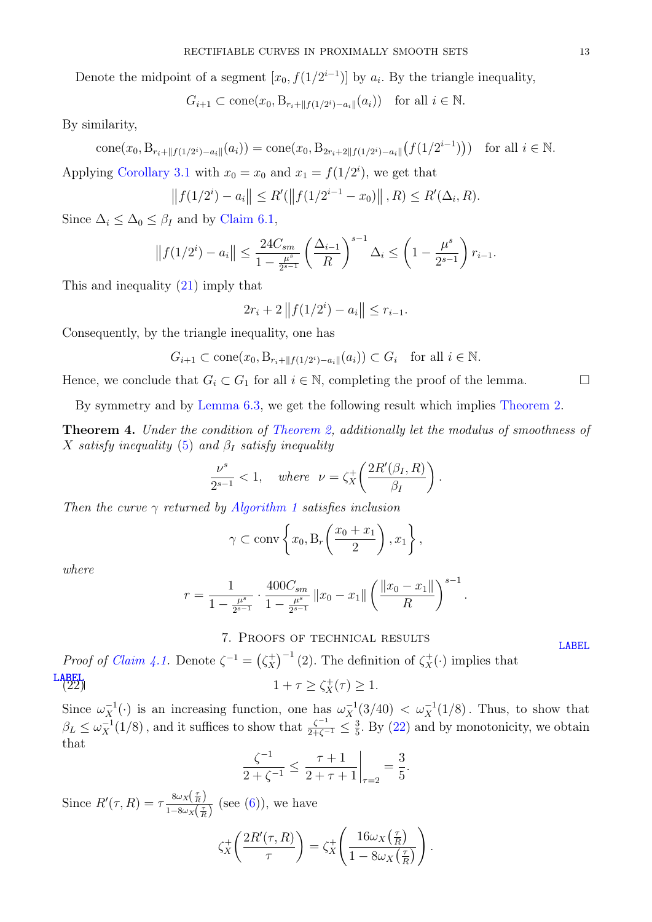Denote the midpoint of a segment  $[x_0, f(1/2^{i-1})]$  by  $a_i$ . By the triangle inequality,

$$
G_{i+1} \subset \text{cone}(x_0, B_{r_i + ||f(1/2^i) - a_i||}(a_i))
$$
 for all  $i \in \mathbb{N}$ .

By similarity,

cone
$$
(x_0, B_{r_i+\|f(1/2^{i})-a_i\|}(a_i))
$$
 = cone $(x_0, B_{2r_i+2\|f(1/2^{i})-a_i\|}(f(1/2^{i-1})))$  for all  $i \in \mathbb{N}$ .

Applying [Corollary](#page-6-3) [3.1](#page-6-3) with  $x_0 = x_0$  and  $x_1 = f(1/2^i)$ , we get that

$$
||f(1/2^{i}) - a_{i}|| \leq R'(||f(1/2^{i-1} - x_{0})||, R) \leq R'(\Delta_{i}, R).
$$

Since  $\Delta_i \leq \Delta_0 \leq \beta_I$  and by [Claim](#page-9-3) [6.1,](#page-9-3)

$$
||f(1/2^{i}) - a_{i}|| \leq \frac{24C_{sm}}{1 - \frac{\mu^{s}}{2^{s-1}}} \left(\frac{\Delta_{i-1}}{R}\right)^{s-1} \Delta_{i} \leq \left(1 - \frac{\mu^{s}}{2^{s-1}}\right) r_{i-1}.
$$

This and inequality [\(21\)](#page-11-1) imply that

$$
2r_i + 2||f(1/2^i) - a_i|| \le r_{i-1}.
$$

Consequently, by the triangle inequality, one has

$$
G_{i+1} \subset \text{cone}(x_0, \mathcal{B}_{r_i + \|f(1/2^i) - a_i\|}(a_i)) \subset G_i \quad \text{for all } i \in \mathbb{N}.
$$

Hence, we conclude that  $G_i \subset G_1$  for all  $i \in \mathbb{N}$ , completing the proof of the lemma.

By symmetry and by [Lemma](#page-11-2) [6.3,](#page-11-2) we get the following result which implies [Theorem](#page-1-0) [2.](#page-1-0)

Theorem 4. Under the condition of [Theorem](#page-1-0) [2,](#page-1-0) additionally let the modulus of smoothness of X satisfy inequality [\(5\)](#page-3-2) and  $\beta_I$  satisfy inequality

$$
\frac{\nu^s}{2^{s-1}} < 1, \quad \text{where} \quad \nu = \zeta_X^+ \left( \frac{2R'(\beta_I, R)}{\beta_I} \right).
$$

Then the curve  $\gamma$  returned by [Algorithm](#page-7-0) [1](#page-7-0) satisfies inclusion

$$
\gamma \subset \operatorname{conv}\left\{x_0, B_r\left(\frac{x_0 + x_1}{2}\right), x_1\right\},\right
$$

where

$$
r = \frac{1}{1 - \frac{\mu^s}{2^{s-1}}} \cdot \frac{400 C_{sm}}{1 - \frac{\mu^s}{2^{s-1}}} ||x_0 - x_1|| \left(\frac{||x_0 - x_1||}{R}\right)^{s-1}.
$$

## <span id="page-12-1"></span>7. Proofs of technical results

<span id="page-12-0"></span>*Proof of [Claim](#page-7-3) [4.1.](#page-7-3)* Denote  $\zeta^{-1} = (\zeta_X^+)$  $(\chi_X^+)^{-1}$  (2). The definition of  $\zeta_X^+(\cdot)$  implies that **[LABEL](eq:inequality_zeta)**<br>  $(22)$   $1 + \tau \ge \zeta_X^+(\tau) \ge 1.$ 

Since  $\omega_X^{-1}(\cdot)$  is an increasing function, one has  $\omega_X^{-1}(3/40) < \omega_X^{-1}(1/8)$ . Thus, to show that  $\beta_L \leq \omega_X^{-1}(1/8)$ , and it suffices to show that  $\frac{\zeta^{-1}}{2+\zeta^{-1}} \leq \frac{3}{5}$  $\frac{3}{5}$ . By [\(22\)](#page-12-1) and by monotonicity, we obtain that

$$
\frac{\zeta^{-1}}{2+\zeta^{-1}} \le \frac{\tau+1}{2+\tau+1}\bigg|_{\tau=2} = \frac{3}{5}.
$$

Since  $R'(\tau,R) = \tau \frac{8\omega_X(\frac{\tau}{R})}{1-8\omega_L(\tau)}$  $\frac{\partial \omega_{X(R)}}{1-8\omega_X(\frac{\tau}{R})}$  (see [\(6\)](#page-4-2)), we have

$$
\zeta_X^+\left(\frac{2R'(\tau,R)}{\tau}\right) = \zeta_X^+\left(\frac{16\omega_X\left(\frac{\tau}{R}\right)}{1-8\omega_X\left(\frac{\tau}{R}\right)}\right).
$$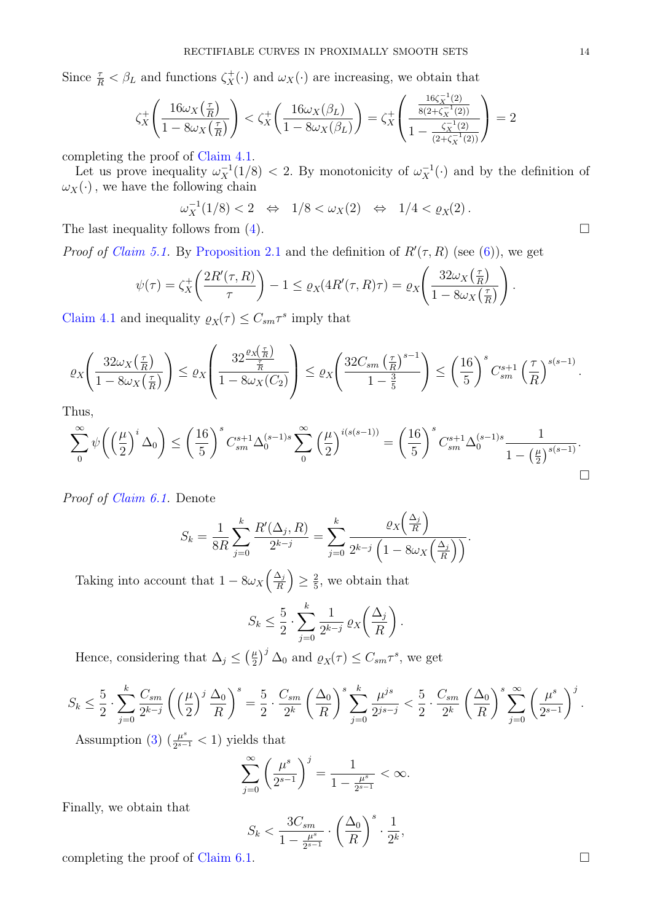Since  $\frac{\tau}{R} < \beta_L$  and functions  $\zeta_X^+(\cdot)$  and  $\omega_X(\cdot)$  are increasing, we obtain that

$$
\zeta_X^+ \Bigg( \frac{16 \omega_X \big( \frac{\tau}{R} \big)}{1 - 8 \omega_X \big( \frac{\tau}{R} \big)} \Bigg) < \zeta_X^+ \Bigg( \frac{16 \omega_X (\beta_L)}{1 - 8 \omega_X (\beta_L)} \Bigg) = \zeta_X^+ \Bigg( \frac{\frac{16 \zeta_X^{-1}(2)}{8 (2 + \zeta_X^{-1}(2))}}{1 - \frac{\zeta_X^{-1}(2)}{(2 + \zeta_X^{-1}(2))}} \Bigg) = 2
$$

completing the proof of [Claim](#page-7-3) [4.1.](#page-7-3)

Let us prove inequality  $\omega_X^{-1}(1/8) < 2$ . By monotonicity of  $\omega_X^{-1}(\cdot)$  and by the definition of  $\omega_X(\cdot)$ , we have the following chain

$$
\omega_X^{-1}(1/8) < 2 \quad \Leftrightarrow \quad 1/8 < \omega_X(2) \quad \Leftrightarrow \quad 1/4 < \varrho_X(2) \, .
$$

The last inequality follows from  $(4)$ .

*Proof of [Claim](#page-9-1) [5.1.](#page-9-1)* By [Proposition](#page-3-1) [2.1](#page-3-1) and the definition of  $R'(\tau, R)$  (see [\(6\)](#page-4-2)), we get

$$
\psi(\tau) = \zeta_X^+ \left( \frac{2R'(\tau, R)}{\tau} \right) - 1 \le \varrho_X(4R'(\tau, R)\tau) = \varrho_X \left( \frac{32\omega_X\left(\frac{\tau}{R}\right)}{1 - 8\omega_X\left(\frac{\tau}{R}\right)} \right).
$$

[Claim](#page-7-3) [4.1](#page-7-3) and inequality  $\varrho_X(\tau) \leq C_{sm} \tau^s$  imply that

$$
\varrho_X\left(\frac{32\omega_X\left(\frac{\tau}{R}\right)}{1-8\omega_X\left(\frac{\tau}{R}\right)}\right) \leq \varrho_X\left(\frac{32\frac{\varrho_X\left(\frac{\tau}{R}\right)}{\frac{\tau}{R}}}{1-8\omega_X(C_2)}\right) \leq \varrho_X\left(\frac{32C_{sm}\left(\frac{\tau}{R}\right)^{s-1}}{1-\frac{3}{5}}\right) \leq \left(\frac{16}{5}\right)^sC_{sm}^{s+1}\left(\frac{\tau}{R}\right)^{s(s-1)}.
$$

Thus,

$$
\sum_{0}^{\infty} \psi \bigg( \Big(\frac{\mu}{2}\Big)^i \Delta_0 \bigg) \le \bigg( \frac{16}{5}\bigg)^s C_{sm}^{s+1} \Delta_0^{(s-1)s} \sum_{0}^{\infty} \Big(\frac{\mu}{2}\Big)^{i(s(s-1))} = \bigg( \frac{16}{5}\bigg)^s C_{sm}^{s+1} \Delta_0^{(s-1)s} \frac{1}{1-\big(\frac{\mu}{2}\big)^{s(s-1)}}.
$$

Proof of [Claim](#page-9-3) [6.1.](#page-9-3) Denote

$$
S_k = \frac{1}{8R} \sum_{j=0}^k \frac{R'(\Delta_j, R)}{2^{k-j}} = \sum_{j=0}^k \frac{\varrho_X\left(\frac{\Delta_j}{R}\right)}{2^{k-j}\left(1 - 8\omega_X\left(\frac{\Delta_j}{R}\right)\right)}.
$$

Taking into account that  $1 - 8\omega_X \left(\frac{\Delta_j}{R}\right)$  $\left(\frac{\Delta_j}{R}\right) \geq \frac{2}{5}$  $\frac{2}{5}$ , we obtain that

$$
S_k \leq \frac{5}{2} \cdot \sum_{j=0}^k \frac{1}{2^{k-j}} \, \varrho_X\bigg(\frac{\Delta_j}{R}\bigg) \, .
$$

Hence, considering that  $\Delta_j \leq (\frac{\mu}{2})$  $(\frac{\mu}{2})^j \Delta_0$  and  $\varrho_X(\tau) \leq C_{sm} \tau^s$ , we get

$$
S_k \le \frac{5}{2} \cdot \sum_{j=0}^k \frac{C_{sm}}{2^{k-j}} \left( \left(\frac{\mu}{2}\right)^j \frac{\Delta_0}{R} \right)^s = \frac{5}{2} \cdot \frac{C_{sm}}{2^k} \left( \frac{\Delta_0}{R} \right)^s \sum_{j=0}^k \frac{\mu^{js}}{2^{js-j}} < \frac{5}{2} \cdot \frac{C_{sm}}{2^k} \left( \frac{\Delta_0}{R} \right)^s \sum_{j=0}^\infty \left( \frac{\mu^s}{2^{s-1}} \right)^j.
$$

Assumption [\(3\)](#page-7-4)  $\left(\frac{\mu^s}{2s}\right)$  $\frac{\mu^{\circ}}{2^{s-1}}$  < 1) yields that

$$
\sum_{j=0}^{\infty} \left(\frac{\mu^s}{2^{s-1}}\right)^j = \frac{1}{1 - \frac{\mu^s}{2^{s-1}}} < \infty.
$$

Finally, we obtain that

$$
S_k < \frac{3C_{sm}}{1 - \frac{\mu^s}{2^{s-1}}} \cdot \left(\frac{\Delta_0}{R}\right)^s \cdot \frac{1}{2^k},
$$

completing the proof of [Claim](#page-9-3) [6.1.](#page-9-3)  $\Box$